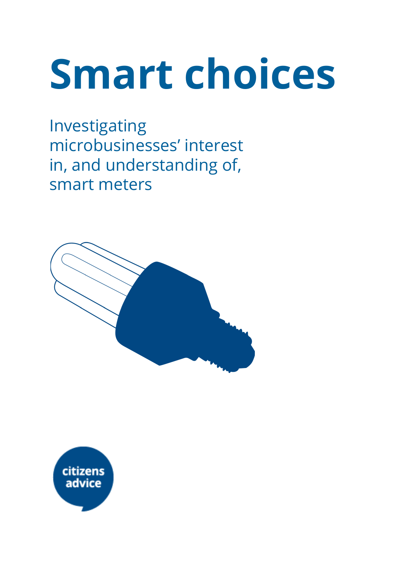# Smart choices

Investigating microbusinesses' interest in, and understanding of, smart meters



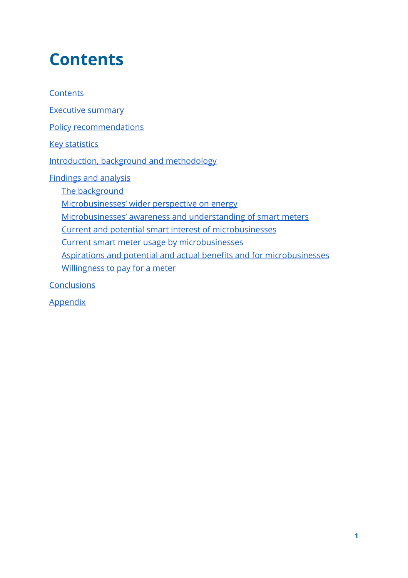## <span id="page-1-0"></span>**Contents**

**[Contents](#page-1-0)** 

Executive [summary](#page-2-0)

Policy [recommendations](#page-4-0)

Key [statistics](#page-6-0)

Introduction, background and [methodology](#page-8-0)

[Findings](#page-9-0) and analysis

The [background](#page-9-1)

[Microbusinesses'](#page-9-2) wider perspective on energy

[Microbusinesses'](#page-15-0) awareness and understanding of smart meters

Current and potential smart interest of [microbusinesses](#page-19-0)

Current smart meter usage by [microbusinesses](#page-23-0)

Aspirations and potential and actual benefits and for [microbusinesses](#page-30-0) [Willingness](#page-37-0) to pay for a meter

**[Conclusions](#page-39-0)** 

**[Appendix](#page-40-0)**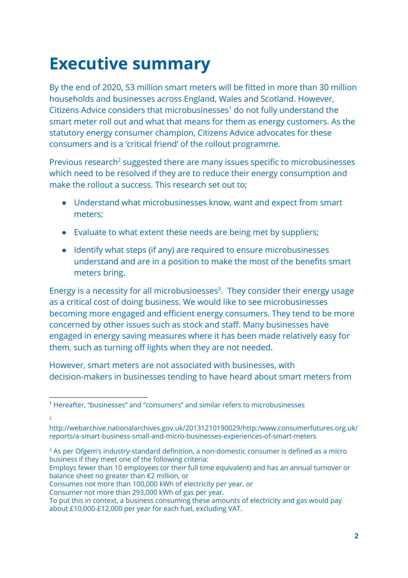# <span id="page-2-0"></span>Executive summary

By the end of 2020, 53 million smart meters will be fitted in more than 30 million households and businesses across England, Wales and Scotland. However, Citizens Advice considers that microbusinesses $<sup>1</sup>$  do not fully understand the</sup> smart meter roll out and what that means for them as energy customers. As the statutory energy consumer champion, Citizens Advice advocates for these consumers and is a 'critical friend' of the rollout programme.

Previous research<sup>2</sup> suggested there are many issues specific to microbusinesses which need to be resolved if they are to reduce their energy consumption and make the rollout a success. This research set out to;

- Understand what microbusinesses know, want and expect from smart meters;
- Evaluate to what extent these needs are being met by suppliers;
- Identify what steps (if any) are required to ensure microbusinesses understand and are in a position to make the most of the benefits smart meters bring.

Energy is a necessity for all microbusinesses<sup>3</sup>. They consider their energy usage as a critical cost of doing business. We would like to see microbusinesses becoming more engaged and efficient energy consumers. They tend to be more concerned by other issues such as stock and staff. Many businesses have engaged in energy saving measures where it has been made relatively easy for them, such as turning off lights when they are not needed.

However, smart meters are not associated with businesses, with decision-makers in businesses tending to have heard about smart meters from

 $\overline{2}$ 

Employs fewer than 10 employees (or their full time equivalent) and has an annual turnover or balance sheet no greater than €2 million, or

Consumes not more than 100,000 kWh of electricity per year, or

Consumer not more than 293,000 kWh of gas per year.

<sup>1</sup> Hereafter, "businesses" and "consumers" and similar refers to microbusinesses

http://webarchive.nationalarchives.gov.uk/20131210190029/http:/www.consumerfutures.org.uk/ reports/a-smart-business-small-and-micro-businesses-experiences-of-smart-meters

<sup>&</sup>lt;sup>3</sup> As per Ofgem's industry-standard definition, a non-domestic consumer is defined as a micro business if they meet one of the following criteria:

To put this in context, a business consuming these amounts of electricity and gas would pay about £10,000-£12,000 per year for each fuel, excluding VAT.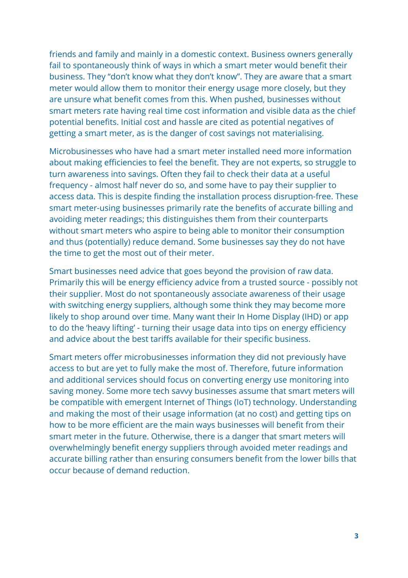friends and family and mainly in a domestic context. Business owners generally fail to spontaneously think of ways in which a smart meter would benefit their business. They "don't know what they don't know". They are aware that a smart meter would allow them to monitor their energy usage more closely, but they are unsure what benefit comes from this. When pushed, businesses without smart meters rate having real time cost information and visible data as the chief potential benefits. Initial cost and hassle are cited as potential negatives of getting a smart meter, as is the danger of cost savings not materialising.

Microbusinesses who have had a smart meter installed need more information about making efficiencies to feel the benefit. They are not experts, so struggle to turn awareness into savings. Often they fail to check their data at a useful frequency - almost half never do so, and some have to pay their supplier to access data. This is despite finding the installation process disruption-free. These smart meter-using businesses primarily rate the benefits of accurate billing and avoiding meter readings; this distinguishes them from their counterparts without smart meters who aspire to being able to monitor their consumption and thus (potentially) reduce demand. Some businesses say they do not have the time to get the most out of their meter.

Smart businesses need advice that goes beyond the provision of raw data. Primarily this will be energy efficiency advice from a trusted source - possibly not their supplier. Most do not spontaneously associate awareness of their usage with switching energy suppliers, although some think they may become more likely to shop around over time. Many want their In Home Display (IHD) or app to do the 'heavy lifting' - turning their usage data into tips on energy efficiency and advice about the best tariffs available for their specific business.

Smart meters offer microbusinesses information they did not previously have access to but are yet to fully make the most of. Therefore, future information and additional services should focus on converting energy use monitoring into saving money. Some more tech savvy businesses assume that smart meters will be compatible with emergent Internet of Things (IoT) technology. Understanding and making the most of their usage information (at no cost) and getting tips on how to be more efficient are the main ways businesses will benefit from their smart meter in the future. Otherwise, there is a danger that smart meters will overwhelmingly benefit energy suppliers through avoided meter readings and accurate billing rather than ensuring consumers benefit from the lower bills that occur because of demand reduction.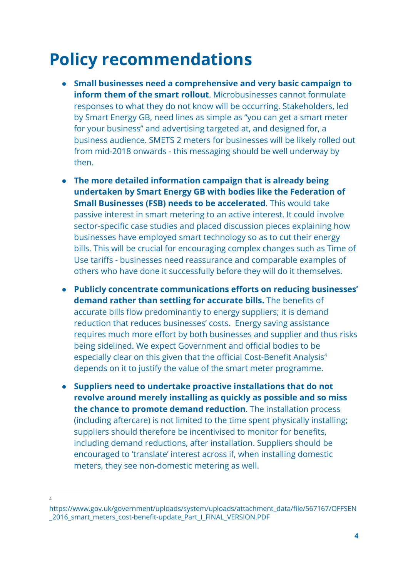## <span id="page-4-0"></span>Policy recommendations

- Small businesses need a comprehensive and very basic campaign to inform them of the smart rollout. Microbusinesses cannot formulate responses to what they do not know will be occurring. Stakeholders, led by Smart Energy GB, need lines as simple as "you can get a smart meter for your business" and advertising targeted at, and designed for, a business audience. SMETS 2 meters for businesses will be likely rolled out from mid-2018 onwards - this messaging should be well underway by then.
- The more detailed information campaign that is already being undertaken by Smart Energy GB with bodies like the Federation of Small Businesses (FSB) needs to be accelerated. This would take passive interest in smart metering to an active interest. It could involve sector-specific case studies and placed discussion pieces explaining how businesses have employed smart technology so as to cut their energy bills. This will be crucial for encouraging complex changes such as Time of Use tariffs - businesses need reassurance and comparable examples of others who have done it successfully before they will do it themselves.
- Publicly concentrate communications efforts on reducing businesses' demand rather than settling for accurate bills. The benefits of accurate bills flow predominantly to energy suppliers; it is demand reduction that reduces businesses' costs. Energy saving assistance requires much more effort by both businesses and supplier and thus risks being sidelined. We expect Government and official bodies to be especially clear on this given that the official Cost-Benefit Analysis 4 depends on it to justify the value of the smart meter programme.
- Suppliers need to undertake proactive installations that do not revolve around merely installing as quickly as possible and so miss the chance to promote demand reduction. The installation process (including aftercare) is not limited to the time spent physically installing; suppliers should therefore be incentivised to monitor for benefits, including demand reductions, after installation. Suppliers should be encouraged to 'translate' interest across if, when installing domestic meters, they see non-domestic metering as well.
- 4

https://www.gov.uk/government/uploads/system/uploads/attachment\_data/file/567167/OFFSEN 2016\_smart\_meters\_cost-benefit-update\_Part\_I\_FINAL\_VERSION.PDF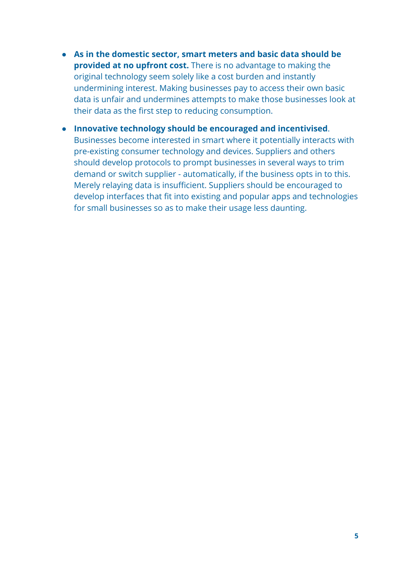- As in the domestic sector, smart meters and basic data should be provided at no upfront cost. There is no advantage to making the original technology seem solely like a cost burden and instantly undermining interest. Making businesses pay to access their own basic data is unfair and undermines attempts to make those businesses look at their data as the first step to reducing consumption.
- Innovative technology should be encouraged and incentivised. Businesses become interested in smart where it potentially interacts with pre-existing consumer technology and devices. Suppliers and others should develop protocols to prompt businesses in several ways to trim demand or switch supplier - automatically, if the business opts in to this. Merely relaying data is insufficient. Suppliers should be encouraged to develop interfaces that fit into existing and popular apps and technologies for small businesses so as to make their usage less daunting.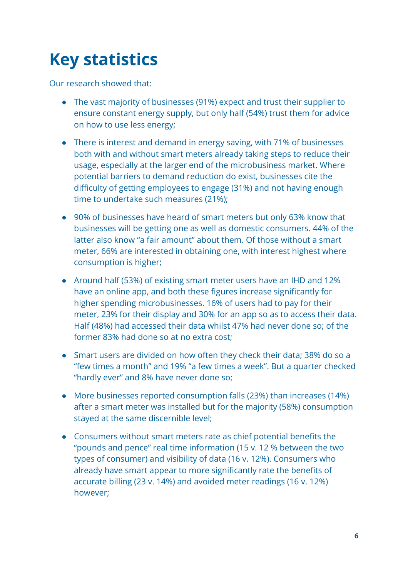# <span id="page-6-0"></span>Key statistics

Our research showed that:

- The vast majority of businesses (91%) expect and trust their supplier to ensure constant energy supply, but only half (54%) trust them for advice on how to use less energy;
- There is interest and demand in energy saving, with 71% of businesses both with and without smart meters already taking steps to reduce their usage, especially at the larger end of the microbusiness market. Where potential barriers to demand reduction do exist, businesses cite the difficulty of getting employees to engage (31%) and not having enough time to undertake such measures (21%);
- 90% of businesses have heard of smart meters but only 63% know that businesses will be getting one as well as domestic consumers. 44% of the latter also know "a fair amount" about them. Of those without a smart meter, 66% are interested in obtaining one, with interest highest where consumption is higher;
- Around half (53%) of existing smart meter users have an IHD and 12% have an online app, and both these figures increase significantly for higher spending microbusinesses. 16% of users had to pay for their meter, 23% for their display and 30% for an app so as to access their data. Half (48%) had accessed their data whilst 47% had never done so; of the former 83% had done so at no extra cost;
- Smart users are divided on how often they check their data; 38% do so a "few times a month" and 19% "a few times a week". But a quarter checked "hardly ever" and 8% have never done so;
- More businesses reported consumption falls (23%) than increases (14%) after a smart meter was installed but for the majority (58%) consumption stayed at the same discernible level;
- Consumers without smart meters rate as chief potential benefits the "pounds and pence" real time information (15 v. 12 % between the two types of consumer) and visibility of data (16 v. 12%). Consumers who already have smart appear to more significantly rate the benefits of accurate billing (23 v. 14%) and avoided meter readings (16 v. 12%) however;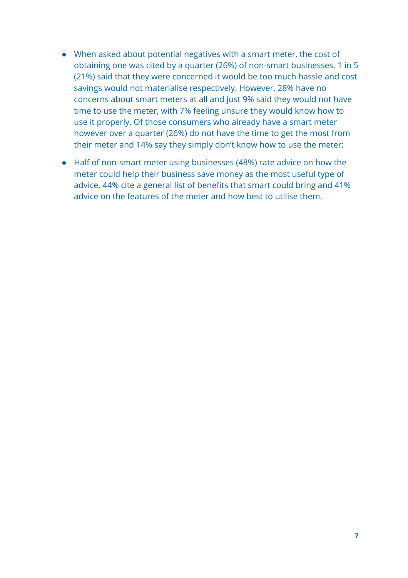- When asked about potential negatives with a smart meter, the cost of obtaining one was cited by a quarter (26%) of non-smart businesses. 1 in 5 (21%) said that they were concerned it would be too much hassle and cost savings would not materialise respectively. However, 28% have no concerns about smart meters at all and just 9% said they would not have time to use the meter, with 7% feeling unsure they would know how to use it properly. Of those consumers who already have a smart meter however over a quarter (26%) do not have the time to get the most from their meter and 14% say they simply don't know how to use the meter;
- Half of non-smart meter using businesses (48%) rate advice on how the meter could help their business save money as the most useful type of advice. 44% cite a general list of benefits that smart could bring and 41% advice on the features of the meter and how best to utilise them.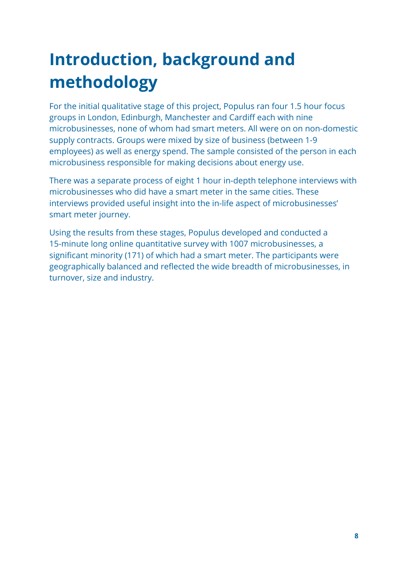# <span id="page-8-0"></span>Introduction, background and methodology

For the initial qualitative stage of this project, Populus ran four 1.5 hour focus groups in London, Edinburgh, Manchester and Cardiff each with nine microbusinesses, none of whom had smart meters. All were on on non-domestic supply contracts. Groups were mixed by size of business (between 1-9 employees) as well as energy spend. The sample consisted of the person in each microbusiness responsible for making decisions about energy use.

There was a separate process of eight 1 hour in-depth telephone interviews with microbusinesses who did have a smart meter in the same cities. These interviews provided useful insight into the in-life aspect of microbusinesses' smart meter journey.

Using the results from these stages, Populus developed and conducted a 15-minute long online quantitative survey with 1007 microbusinesses, a significant minority (171) of which had a smart meter. The participants were geographically balanced and reflected the wide breadth of microbusinesses, in turnover, size and industry.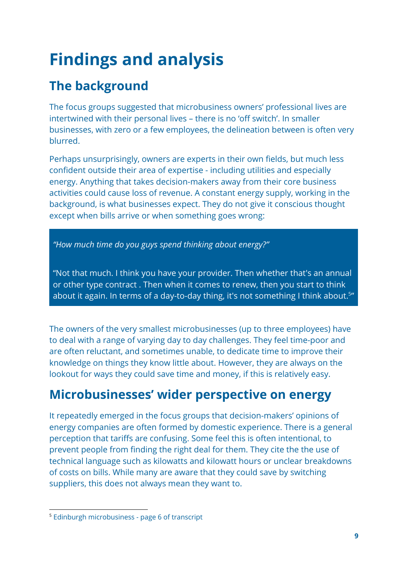# <span id="page-9-0"></span>Findings and analysis

### <span id="page-9-1"></span>The background

The focus groups suggested that microbusiness owners' professional lives are intertwined with their personal lives – there is no 'off switch'. In smaller businesses, with zero or a few employees, the delineation between is often very blurred.

Perhaps unsurprisingly, owners are experts in their own fields, but much less confident outside their area of expertise - including utilities and especially energy. Anything that takes decision-makers away from their core business activities could cause loss of revenue. A constant energy supply, working in the background, is what businesses expect. They do not give it conscious thought except when bills arrive or when something goes wrong:

"How much time do you guys spend thinking about energy?"

"Not that much. I think you have your provider. Then whether that's an annual or other type contract. Then when it comes to renew, then you start to think about it again. In terms of a day-to-day thing, it's not something I think about.<sup>5</sup>"

The owners of the very smallest microbusinesses (up to three employees) have to deal with a range of varying day to day challenges. They feel time-poor and are often reluctant, and sometimes unable, to dedicate time to improve their knowledge on things they know little about. However, they are always on the lookout for ways they could save time and money, if this is relatively easy.

### <span id="page-9-2"></span>Microbusinesses' wider perspective on energy

It repeatedly emerged in the focus groups that decision-makers' opinions of energy companies are often formed by domestic experience. There is a general perception that tariffs are confusing. Some feel this is often intentional, to prevent people from finding the right deal for them. They cite the the use of technical language such as kilowatts and kilowatt hours or unclear breakdowns of costs on bills. While many are aware that they could save by switching suppliers, this does not always mean they want to.

<sup>5</sup> Edinburgh microbusiness - page 6 of transcript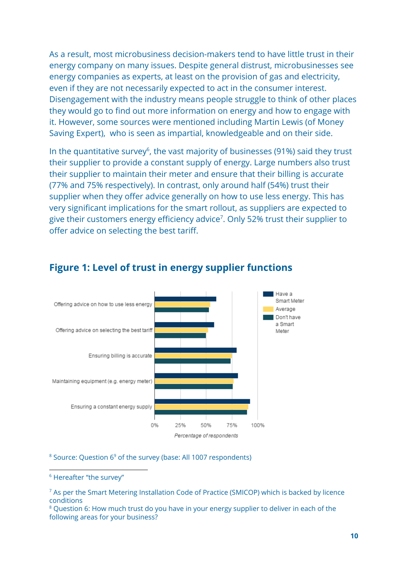As a result, most microbusiness decision-makers tend to have little trust in their energy company on many issues. Despite general distrust, microbusinesses see energy companies as experts, at least on the provision of gas and electricity, even if they are not necessarily expected to act in the consumer interest. Disengagement with the industry means people struggle to think of other places they would go to find out more information on energy and how to engage with it. However, some sources were mentioned including Martin Lewis (of Money Saving Expert), who is seen as impartial, knowledgeable and on their side.

In the quantitative survey<sup>6</sup>, the vast majority of businesses (91%) said they trust their supplier to provide a constant supply of energy. Large numbers also trust their supplier to maintain their meter and ensure that their billing is accurate (77% and 75% respectively). In contrast, only around half (54%) trust their supplier when they offer advice generally on how to use less energy. This has very significant implications for the smart rollout, as suppliers are expected to give their customers energy efficiency advice<sup>7</sup>. Only 52% trust their supplier to offer advice on selecting the best tariff.



#### Figure 1: Level of trust in energy supplier functions

 $8$  Source: Question  $6^9$  of the survey (base: All 1007 respondents)

<sup>8</sup> Question 6: How much trust do you have in your energy supplier to deliver in each of the following areas for your business?

<sup>6</sup> Hereafter "the survey"

<sup>7</sup> As per the Smart Metering Installation Code of Practice (SMICOP) which is backed by licence conditions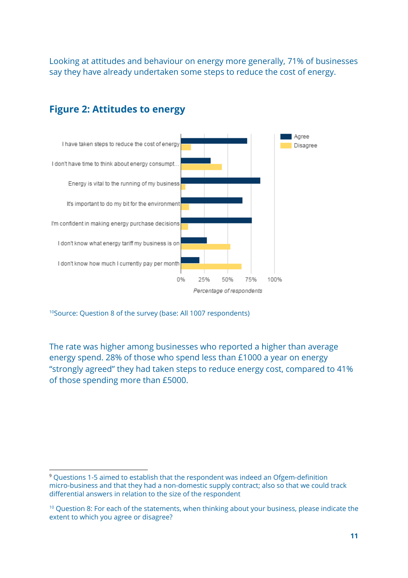Looking at attitudes and behaviour on energy more generally, 71% of businesses say they have already undertaken some steps to reduce the cost of energy.



#### Figure 2: Attitudes to energy

<sup>10</sup>Source: Question 8 of the survey (base: All 1007 respondents)

The rate was higher among businesses who reported a higher than average energy spend. 28% of those who spend less than £1000 a year on energy "strongly agreed" they had taken steps to reduce energy cost, compared to 41% of those spending more than £5000.

<sup>9</sup> Questions 1-5 aimed to establish that the respondent was indeed an Ofgem-definition micro-business and that they had a non-domestic supply contract; also so that we could track differential answers in relation to the size of the respondent

 $10$  Question 8: For each of the statements, when thinking about your business, please indicate the extent to which you agree or disagree?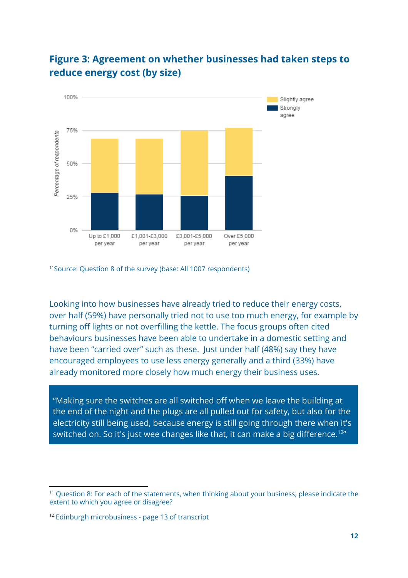

#### Figure 3: Agreement on whether businesses had taken steps to reduce energy cost (by size)

<sup>11</sup> Source: Question 8 of the survey (base: All 1007 respondents)

Looking into how businesses have already tried to reduce their energy costs, over half (59%) have personally tried not to use too much energy, for example by turning off lights or not overfilling the kettle. The focus groups often cited behaviours businesses have been able to undertake in a domestic setting and have been "carried over" such as these. Just under half (48%) say they have encouraged employees to use less energy generally and a third (33%) have already monitored more closely how much energy their business uses.

"Making sure the switches are all switched off when we leave the building at the end of the night and the plugs are all pulled out for safety, but also for the electricity still being used, because energy is still going through there when it's switched on. So it's just wee changes like that, it can make a big difference.<sup>12</sup>"

<sup>11</sup> Question 8: For each of the statements, when thinking about your business, please indicate the extent to which you agree or disagree?

<sup>12</sup> Edinburgh microbusiness - page 13 of transcript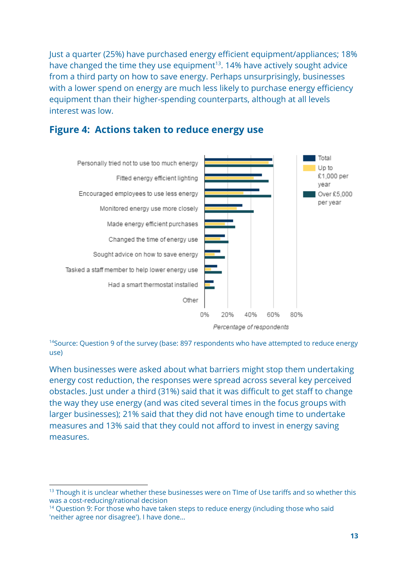Just a quarter (25%) have purchased energy efficient equipment/appliances; 18% have changed the time they use equipment<sup>13</sup>. 14% have actively sought advice from a third party on how to save energy. Perhaps unsurprisingly, businesses with a lower spend on energy are much less likely to purchase energy efficiency equipment than their higher-spending counterparts, although at all levels interest was low.



#### Figure 4: Actions taken to reduce energy use

 $14$ Source: Question 9 of the survey (base: 897 respondents who have attempted to reduce energy use)

When businesses were asked about what barriers might stop them undertaking energy cost reduction, the responses were spread across several key perceived obstacles. Just under a third (31%) said that it was difficult to get staff to change the way they use energy (and was cited several times in the focus groups with larger businesses); 21% said that they did not have enough time to undertake measures and 13% said that they could not afford to invest in energy saving measures.

 $13$  Though it is unclear whether these businesses were on Time of Use tariffs and so whether this was a cost-reducing/rational decision

<sup>&</sup>lt;sup>14</sup> Ouestion 9: For those who have taken steps to reduce energy (including those who said 'neither agree nor disagree'). I have done...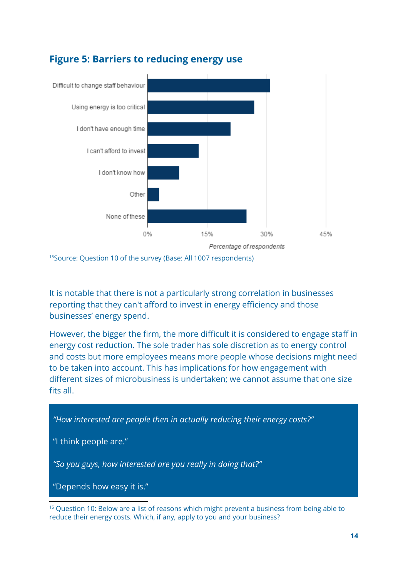

#### Figure 5: Barriers to reducing energy use

<sup>15</sup> Source: Question 10 of the survey (Base: All 1007 respondents)

It is notable that there is not a particularly strong correlation in businesses reporting that they can't afford to invest in energy efficiency and those businesses' energy spend.

However, the bigger the firm, the more difficult it is considered to engage staff in energy cost reduction. The sole trader has sole discretion as to energy control and costs but more employees means more people whose decisions might need to be taken into account. This has implications for how engagement with different sizes of microbusiness is undertaken; we cannot assume that one size fits all.

"How interested are people then in actually reducing their energy costs?"

"I think people are."

"So you guys, how interested are you really in doing that?"

"Depends how easy it is."

 $15$  Question 10: Below are a list of reasons which might prevent a business from being able to reduce their energy costs. Which, if any, apply to you and your business?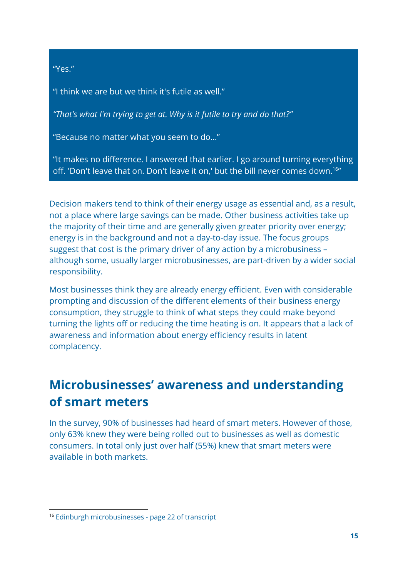"Yes."

"I think we are but we think it's futile as well."

"That's what I'm trying to get at. Why is it futile to try and do that?"

"Because no matter what you seem to do…"

"It makes no difference. I answered that earlier. I go around turning everything off. 'Don't leave that on. Don't leave it on,' but the bill never comes down.<sup>16</sup>"

Decision makers tend to think of their energy usage as essential and, as a result, not a place where large savings can be made. Other business activities take up the majority of their time and are generally given greater priority over energy; energy is in the background and not a day-to-day issue. The focus groups suggest that cost is the primary driver of any action by a microbusiness – although some, usually larger microbusinesses, are part-driven by a wider social responsibility.

Most businesses think they are already energy efficient. Even with considerable prompting and discussion of the different elements of their business energy consumption, they struggle to think of what steps they could make beyond turning the lights off or reducing the time heating is on. It appears that a lack of awareness and information about energy efficiency results in latent complacency.

### <span id="page-15-0"></span>Microbusinesses' awareness and understanding of smart meters

In the survey, 90% of businesses had heard of smart meters. However of those, only 63% knew they were being rolled out to businesses as well as domestic consumers. In total only just over half (55%) knew that smart meters were available in both markets.

<sup>16</sup> Edinburgh microbusinesses - page 22 of transcript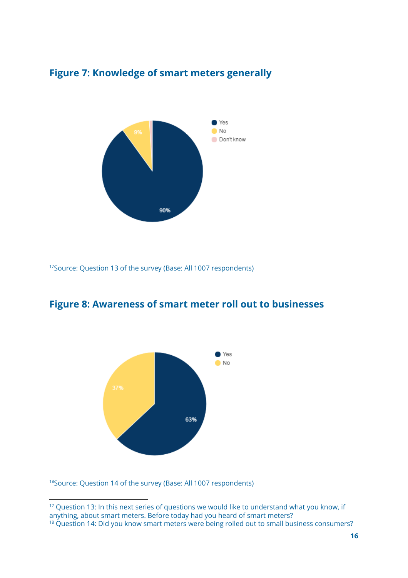

#### Figure 7: Knowledge of smart meters generally

<sup>17</sup>Source: Question 13 of the survey (Base: All 1007 respondents)





<sup>18</sup> Source: Question 14 of the survey (Base: All 1007 respondents)

<sup>&</sup>lt;sup>17</sup> Question 13: In this next series of questions we would like to understand what you know, if anything, about smart meters. Before today had you heard of smart meters?

<sup>&</sup>lt;sup>18</sup> Question 14: Did you know smart meters were being rolled out to small business consumers?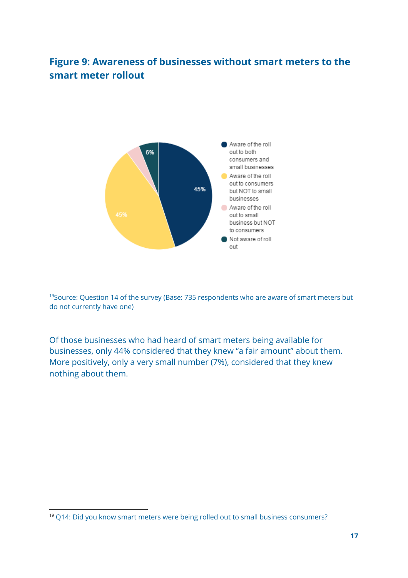#### Figure 9: Awareness of businesses without smart meters to the smart meter rollout



 $19$ Source: Question 14 of the survey (Base: 735 respondents who are aware of smart meters but do not currently have one)

Of those businesses who had heard of smart meters being available for businesses, only 44% considered that they knew "a fair amount" about them. More positively, only a very small number (7%), considered that they knew nothing about them.

<sup>19</sup> Q14: Did you know smart meters were being rolled out to small business consumers?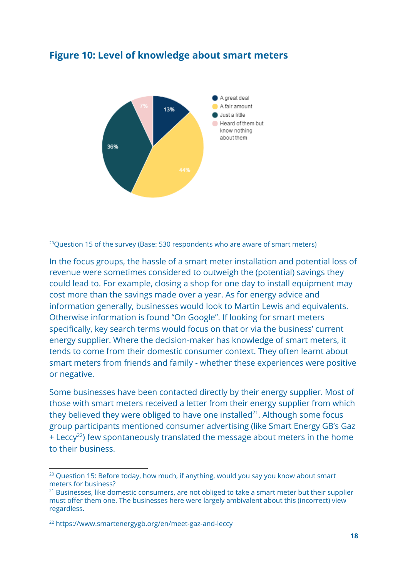

#### Figure 10: Level of knowledge about smart meters

 $^{20}$ Question 15 of the survey (Base: 530 respondents who are aware of smart meters)

In the focus groups, the hassle of a smart meter installation and potential loss of revenue were sometimes considered to outweigh the (potential) savings they could lead to. For example, closing a shop for one day to install equipment may cost more than the savings made over a year. As for energy advice and information generally, businesses would look to Martin Lewis and equivalents. Otherwise information is found "On Google". If looking for smart meters specifically, key search terms would focus on that or via the business' current energy supplier. Where the decision-maker has knowledge of smart meters, it tends to come from their domestic consumer context. They often learnt about smart meters from friends and family - whether these experiences were positive or negative.

Some businesses have been contacted directly by their energy supplier. Most of those with smart meters received a letter from their energy supplier from which they believed they were obliged to have one installed $21$ . Although some focus group participants mentioned consumer advertising (like Smart Energy GB's Gaz  $+$  Leccy<sup>22</sup>) few spontaneously translated the message about meters in the home to their business.

<sup>&</sup>lt;sup>20</sup> Question 15: Before today, how much, if anything, would you say you know about smart meters for business?

<sup>&</sup>lt;sup>21</sup> Businesses, like domestic consumers, are not obliged to take a smart meter but their supplier must offer them one. The businesses here were largely ambivalent about this (incorrect) view regardless.

<sup>22</sup> https://www.smartenergygb.org/en/meet-gaz-and-leccy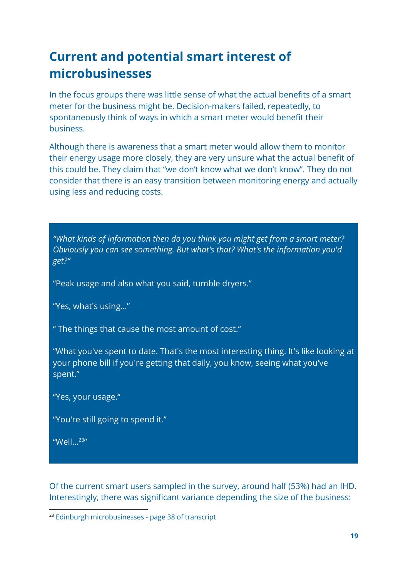### <span id="page-19-0"></span>Current and potential smart interest of microbusinesses

In the focus groups there was little sense of what the actual benefits of a smart meter for the business might be. Decision-makers failed, repeatedly, to spontaneously think of ways in which a smart meter would benefit their business.

Although there is awareness that a smart meter would allow them to monitor their energy usage more closely, they are very unsure what the actual benefit of this could be. They claim that "we don't know what we don't know". They do not consider that there is an easy transition between monitoring energy and actually using less and reducing costs.

"What kinds of information then do you think you might get from a smart meter? Obviously you can see something. But what's that? What's the information you'd get?"

"Peak usage and also what you said, tumble dryers."

"Yes, what's using…"

" The things that cause the most amount of cost."

"What you've spent to date. That's the most interesting thing. It's like looking at your phone bill if you're getting that daily, you know, seeing what you've spent."

"Yes, your usage."

"You're still going to spend it."

"Well... $^{23}$ "

Of the current smart users sampled in the survey, around half (53%) had an IHD. Interestingly, there was significant variance depending the size of the business:

<sup>23</sup> Edinburgh microbusinesses - page 38 of transcript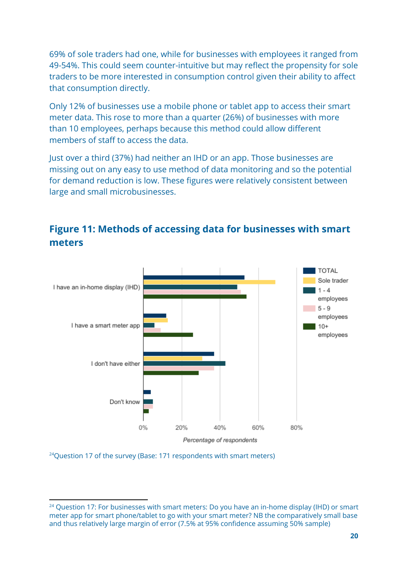69% of sole traders had one, while for businesses with employees it ranged from 49-54%. This could seem counter-intuitive but may reflect the propensity for sole traders to be more interested in consumption control given their ability to affect that consumption directly.

Only 12% of businesses use a mobile phone or tablet app to access their smart meter data. This rose to more than a quarter (26%) of businesses with more than 10 employees, perhaps because this method could allow different members of staff to access the data.

Just over a third (37%) had neither an IHD or an app. Those businesses are missing out on any easy to use method of data monitoring and so the potential for demand reduction is low. These figures were relatively consistent between large and small microbusinesses.



#### Figure 11: Methods of accessing data for businesses with smart meters

 $24$ Question 17 of the survey (Base: 171 respondents with smart meters)

 $24$  Question 17: For businesses with smart meters: Do you have an in-home display (IHD) or smart meter app for smart phone/tablet to go with your smart meter? NB the comparatively small base and thus relatively large margin of error (7.5% at 95% confidence assuming 50% sample)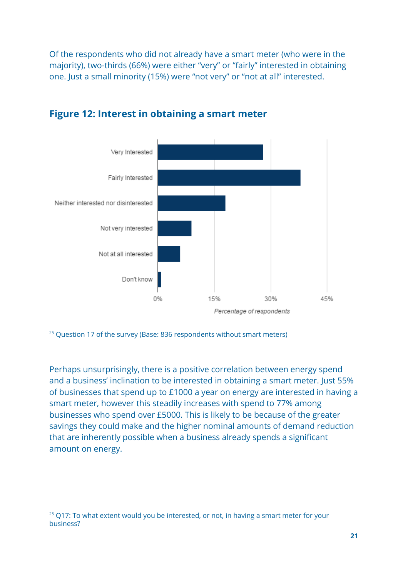Of the respondents who did not already have a smart meter (who were in the majority), two-thirds (66%) were either "very" or "fairly" interested in obtaining one. Just a small minority (15%) were "not very" or "not at all" interested.



#### Figure 12: Interest in obtaining a smart meter

 $25$  Question 17 of the survey (Base: 836 respondents without smart meters)

Perhaps unsurprisingly, there is a positive correlation between energy spend and a business' inclination to be interested in obtaining a smart meter. Just 55% of businesses that spend up to £1000 a year on energy are interested in having a smart meter, however this steadily increases with spend to 77% among businesses who spend over £5000. This is likely to be because of the greater savings they could make and the higher nominal amounts of demand reduction that are inherently possible when a business already spends a significant amount on energy.

 $25$  Q17: To what extent would you be interested, or not, in having a smart meter for your business?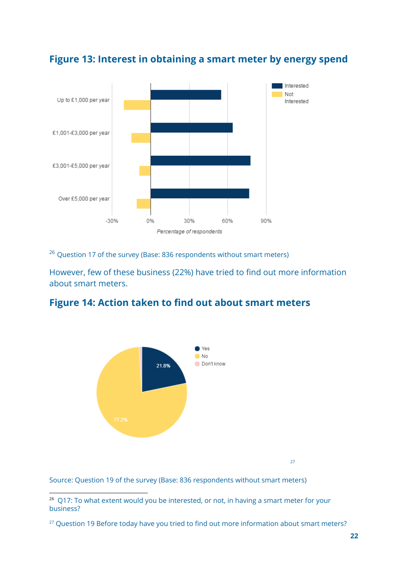

#### Figure 13: Interest in obtaining a smart meter by energy spend

 $^{26}$  Question 17 of the survey (Base: 836 respondents without smart meters)

However, few of these business (22%) have tried to find out more information about smart meters.

#### Figure 14: Action taken to find out about smart meters



Source: Question 19 of the survey (Base: 836 respondents without smart meters)

<sup>&</sup>lt;sup>26</sup> Q17: To what extent would you be interested, or not, in having a smart meter for your business?

<sup>&</sup>lt;sup>27</sup> Question 19 Before today have you tried to find out more information about smart meters?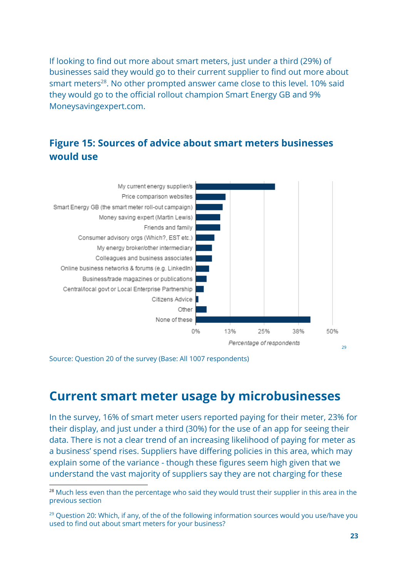If looking to find out more about smart meters, just under a third (29%) of businesses said they would go to their current supplier to find out more about smart meters<sup>28</sup>. No other prompted answer came close to this level. 10% said they would go to the official rollout champion Smart Energy GB and 9% Moneysavingexpert.com.

#### Figure 15: Sources of advice about smart meters businesses would use



Source: Question 20 of the survey (Base: All 1007 respondents)

#### <span id="page-23-0"></span>Current smart meter usage by microbusinesses

In the survey, 16% of smart meter users reported paying for their meter, 23% for their display, and just under a third (30%) for the use of an app for seeing their data. There is not a clear trend of an increasing likelihood of paying for meter as a business' spend rises. Suppliers have differing policies in this area, which may explain some of the variance - though these figures seem high given that we understand the vast majority of suppliers say they are not charging for these

<sup>&</sup>lt;sup>28</sup> Much less even than the percentage who said they would trust their supplier in this area in the previous section

 $29$  Question 20: Which, if any, of the of the following information sources would you use/have you used to find out about smart meters for your business?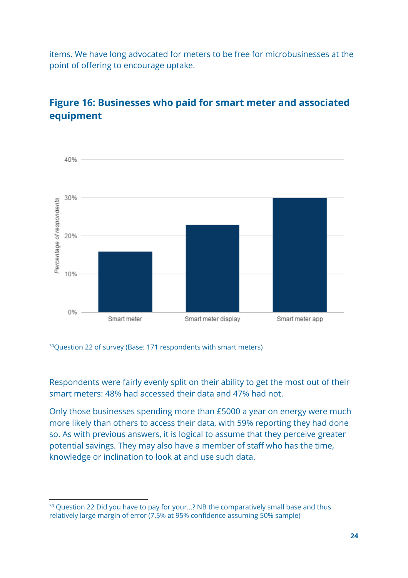items. We have long advocated for meters to be free for microbusinesses at the point of offering to encourage uptake.



#### Figure 16: Businesses who paid for smart meter and associated equipment

<sup>30</sup>Question 22 of survey (Base: 171 respondents with smart meters)

Respondents were fairly evenly split on their ability to get the most out of their smart meters: 48% had accessed their data and 47% had not.

Only those businesses spending more than £5000 a year on energy were much more likely than others to access their data, with 59% reporting they had done so. As with previous answers, it is logical to assume that they perceive greater potential savings. They may also have a member of staff who has the time, knowledge or inclination to look at and use such data.

<sup>&</sup>lt;sup>30</sup> Ouestion 22 Did you have to pay for your...? NB the comparatively small base and thus relatively large margin of error (7.5% at 95% confidence assuming 50% sample)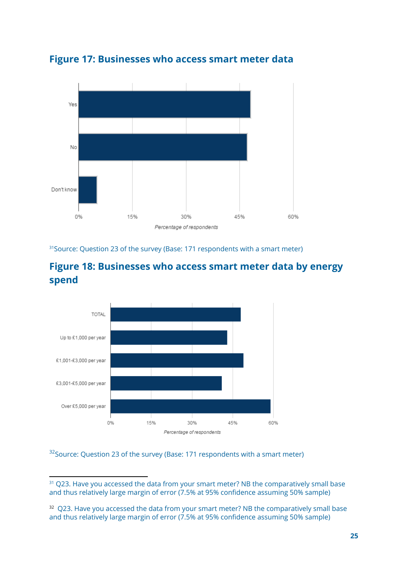



 $31$ Source: Question 23 of the survey (Base: 171 respondents with a smart meter)





#### $32$ Source: Question 23 of the survey (Base: 171 respondents with a smart meter)

<sup>&</sup>lt;sup>31</sup> Q23. Have you accessed the data from your smart meter? NB the comparatively small base and thus relatively large margin of error (7.5% at 95% confidence assuming 50% sample)

<sup>&</sup>lt;sup>32</sup> O23. Have you accessed the data from your smart meter? NB the comparatively small base and thus relatively large margin of error (7.5% at 95% confidence assuming 50% sample)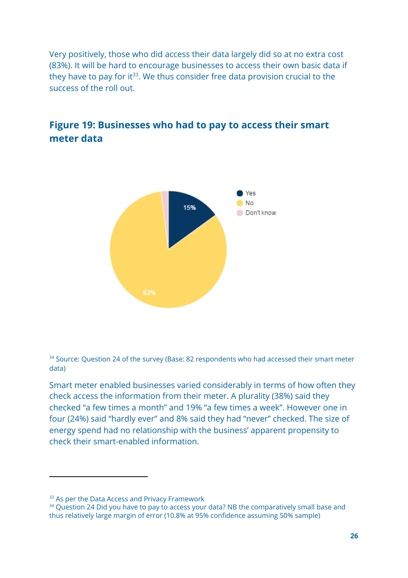Very positively, those who did access their data largely did so at no extra cost (83%). It will be hard to encourage businesses to access their own basic data if they have to pay for it $^{33}$ . We thus consider free data provision crucial to the success of the roll out.

### Figure 19: Businesses who had to pay to access their smart meter data



 $34$  Source: Question 24 of the survey (Base: 82 respondents who had accessed their smart meter  $\,$ data)

Smart meter enabled businesses varied considerably in terms of how often they check access the information from their meter. A plurality (38%) said they checked "a few times a month" and 19% "a few times a week". However one in four (24%) said "hardly ever" and 8% said they had "never" checked. The size of energy spend had no relationship with the business' apparent propensity to check their smart-enabled information.

<sup>&</sup>lt;sup>33</sup> As per the Data Access and Privacy Framework

 $34$  Question 24 Did you have to pay to access your data? NB the comparatively small base and thus relatively large margin of error (10.8% at 95% confidence assuming 50% sample)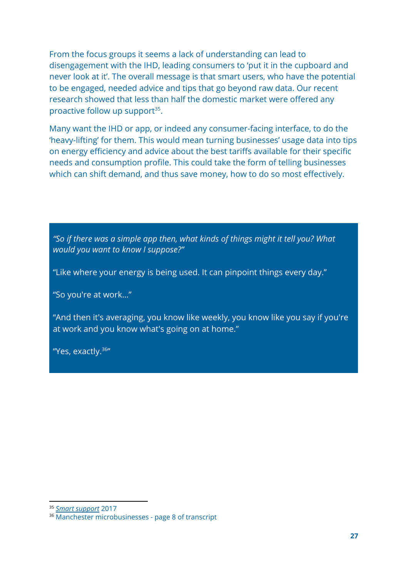From the focus groups it seems a lack of understanding can lead to disengagement with the IHD, leading consumers to 'put it in the cupboard and never look at it'. The overall message is that smart users, who have the potential to be engaged, needed advice and tips that go beyond raw data. Our recent research showed that less than half the domestic market were offered any proactive follow up support $35$ .

Many want the IHD or app, or indeed any consumer-facing interface, to do the 'heavy-lifting' for them. This would mean turning businesses' usage data into tips on energy efficiency and advice about the best tariffs available for their specific needs and consumption profile. This could take the form of telling businesses which can shift demand, and thus save money, how to do so most effectively.

"So if there was a simple app then, what kinds of things might it tell you? What would you want to know I suppose?"

"Like where your energy is being used. It can pinpoint things every day."

"So you're at work…"

"And then it's averaging, you know like weekly, you know like you say if you're at work and you know what's going on at home."

"Yes, exactly.<sup>36</sup>"

<sup>35</sup> Smart [support](https://www.citizensadvice.org.uk/about-us/policy/policy-research-topics/energy-policy-research-and-consultation-responses/energy-policy-research/smart-support-a-good-practice-guide/) 2017

<sup>36</sup> Manchester microbusinesses - page 8 of transcript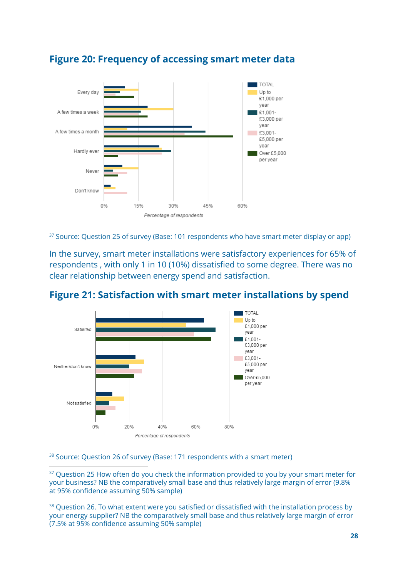

#### Figure 20: Frequency of accessing smart meter data

 $37$  Source: Question 25 of survey (Base: 101 respondents who have smart meter display or app)

In the survey, smart meter installations were satisfactory experiences for 65% of respondents , with only 1 in 10 (10%) dissatisfied to some degree. There was no clear relationship between energy spend and satisfaction.



#### Figure 21: Satisfaction with smart meter installations by spend

 $38$  Source: Question 26 of survey (Base: 171 respondents with a smart meter)

<sup>37</sup> Question 25 How often do you check the information provided to you by your smart meter for your business? NB the comparatively small base and thus relatively large margin of error (9.8% at 95% confidence assuming 50% sample)

<sup>38</sup> Question 26. To what extent were you satisfied or dissatisfied with the installation process by your energy supplier? NB the comparatively small base and thus relatively large margin of error (7.5% at 95% confidence assuming 50% sample)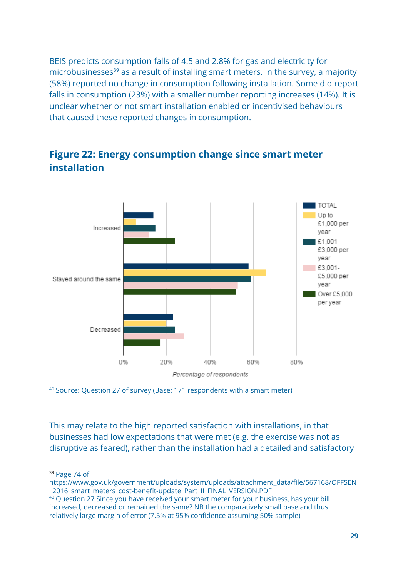BEIS predicts consumption falls of 4.5 and 2.8% for gas and electricity for  $microbusinesses<sup>39</sup>$  as a result of installing smart meters. In the survey, a majority (58%) reported no change in consumption following installation. Some did report falls in consumption (23%) with a smaller number reporting increases (14%). It is unclear whether or not smart installation enabled or incentivised behaviours that caused these reported changes in consumption.



#### Figure 22: Energy consumption change since smart meter installation

 $40$  Source: Question 27 of survey (Base: 171 respondents with a smart meter)

This may relate to the high reported satisfaction with installations, in that businesses had low expectations that were met (e.g. the exercise was not as disruptive as feared), rather than the installation had a detailed and satisfactory

<sup>39</sup> Page 74 of

https://www.gov.uk/government/uploads/system/uploads/attachment\_data/file/567168/OFFSEN \_2016\_smart\_meters\_cost-benefit-update\_Part\_II\_FINAL\_VERSION.PDF

<sup>&</sup>lt;sup>40</sup> Ouestion 27 Since you have received your smart meter for your business, has your bill increased, decreased or remained the same? NB the comparatively small base and thus relatively large margin of error (7.5% at 95% confidence assuming 50% sample)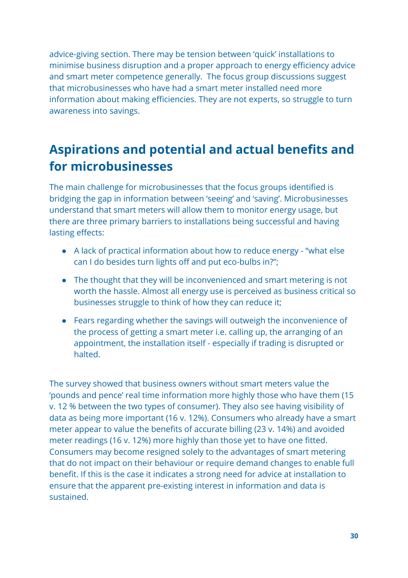advice-giving section. There may be tension between 'quick' installations to minimise business disruption and a proper approach to energy efficiency advice and smart meter competence generally. The focus group discussions suggest that microbusinesses who have had a smart meter installed need more information about making efficiencies. They are not experts, so struggle to turn awareness into savings.

### <span id="page-30-0"></span>Aspirations and potential and actual benefits and for microbusinesses

The main challenge for microbusinesses that the focus groups identified is bridging the gap in information between 'seeing' and 'saving'. Microbusinesses understand that smart meters will allow them to monitor energy usage, but there are three primary barriers to installations being successful and having lasting effects:

- A lack of practical information about how to reduce energy "what else can I do besides turn lights off and put eco-bulbs in?";
- The thought that they will be inconvenienced and smart metering is not worth the hassle. Almost all energy use is perceived as business critical so businesses struggle to think of how they can reduce it;
- Fears regarding whether the savings will outweigh the inconvenience of the process of getting a smart meter i.e. calling up, the arranging of an appointment, the installation itself - especially if trading is disrupted or halted.

The survey showed that business owners without smart meters value the 'pounds and pence' real time information more highly those who have them (15 v. 12 % between the two types of consumer). They also see having visibility of data as being more important (16 v. 12%). Consumers who already have a smart meter appear to value the benefits of accurate billing (23 v. 14%) and avoided meter readings (16 v. 12%) more highly than those yet to have one fitted. Consumers may become resigned solely to the advantages of smart metering that do not impact on their behaviour or require demand changes to enable full benefit. If this is the case it indicates a strong need for advice at installation to ensure that the apparent pre-existing interest in information and data is sustained.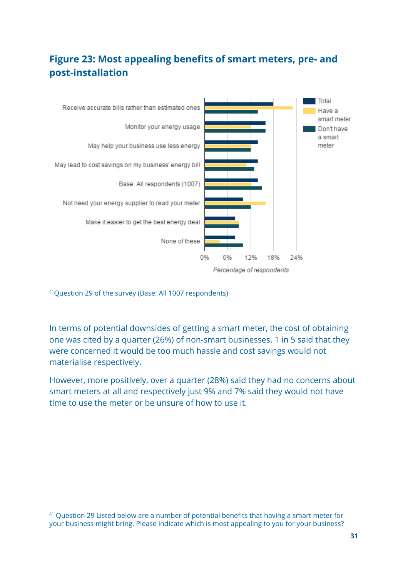#### Figure 23: Most appealing benefits of smart meters, pre- and post-installation



<sup>41</sup>Question 29 of the survey (Base: All 1007 respondents)

In terms of potential downsides of getting a smart meter, the cost of obtaining one was cited by a quarter (26%) of non-smart businesses. 1 in 5 said that they were concerned it would be too much hassle and cost savings would not materialise respectively.

However, more positively, over a quarter (28%) said they had no concerns about smart meters at all and respectively just 9% and 7% said they would not have time to use the meter or be unsure of how to use it.

 $41$  Question 29 Listed below are a number of potential benefits that having a smart meter for your business might bring. Please indicate which is most appealing to you for your business?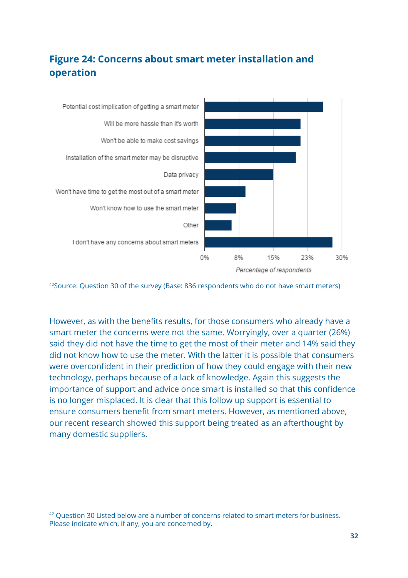#### Figure 24: Concerns about smart meter installation and operation

![](_page_32_Figure_1.jpeg)

 $42$ Source: Question 30 of the survey (Base: 836 respondents who do not have smart meters)

However, as with the benefits results, for those consumers who already have a smart meter the concerns were not the same. Worryingly, over a quarter (26%) said they did not have the time to get the most of their meter and 14% said they did not know how to use the meter. With the latter it is possible that consumers were overconfident in their prediction of how they could engage with their new technology, perhaps because of a lack of knowledge. Again this suggests the importance of support and advice once smart is installed so that this confidence is no longer misplaced. It is clear that this follow up support is essential to ensure consumers benefit from smart meters. However, as mentioned above, our recent research showed this support being treated as an afterthought by many domestic suppliers.

 $42$  Question 30 Listed below are a number of concerns related to smart meters for business. Please indicate which, if any, you are concerned by.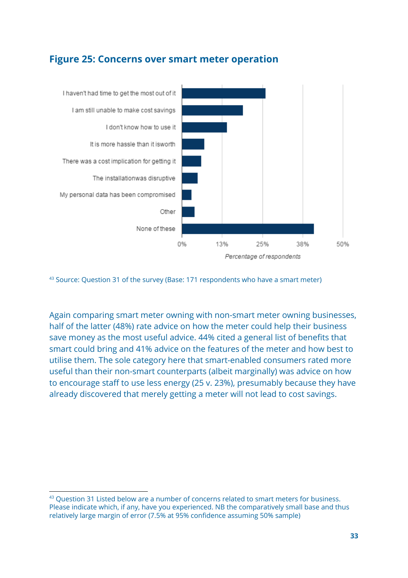#### Figure 25: Concerns over smart meter operation

![](_page_33_Figure_1.jpeg)

 $43$  Source: Question 31 of the survey (Base: 171 respondents who have a smart meter)

Again comparing smart meter owning with non-smart meter owning businesses, half of the latter (48%) rate advice on how the meter could help their business save money as the most useful advice. 44% cited a general list of benefits that smart could bring and 41% advice on the features of the meter and how best to utilise them. The sole category here that smart-enabled consumers rated more useful than their non-smart counterparts (albeit marginally) was advice on how to encourage staff to use less energy (25 v. 23%), presumably because they have already discovered that merely getting a meter will not lead to cost savings.

 $43$  Question 31 Listed below are a number of concerns related to smart meters for business. Please indicate which, if any, have you experienced. NB the comparatively small base and thus relatively large margin of error (7.5% at 95% confidence assuming 50% sample)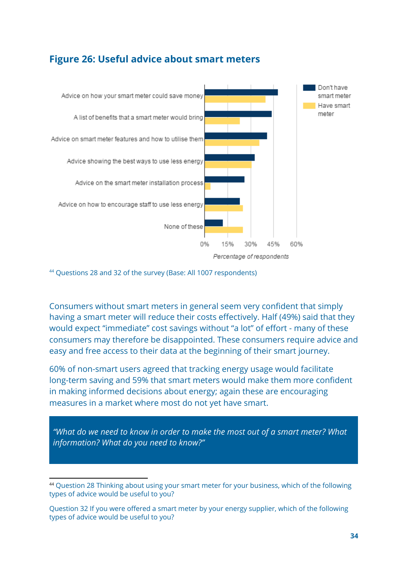#### Figure 26: Useful advice about smart meters

![](_page_34_Figure_1.jpeg)

<sup>44</sup> Questions 28 and 32 of the survey (Base: All 1007 respondents)

Consumers without smart meters in general seem very confident that simply having a smart meter will reduce their costs effectively. Half (49%) said that they would expect "immediate" cost savings without "a lot" of effort - many of these consumers may therefore be disappointed. These consumers require advice and easy and free access to their data at the beginning of their smart journey.

60% of non-smart users agreed that tracking energy usage would facilitate long-term saving and 59% that smart meters would make them more confident in making informed decisions about energy; again these are encouraging measures in a market where most do not yet have smart.

"What do we need to know in order to make the most out of a smart meter? What information? What do you need to know?"

<sup>44</sup> Question 28 Thinking about using your smart meter for your business, which of the following types of advice would be useful to you?

Question 32 If you were offered a smart meter by your energy supplier, which of the following types of advice would be useful to you?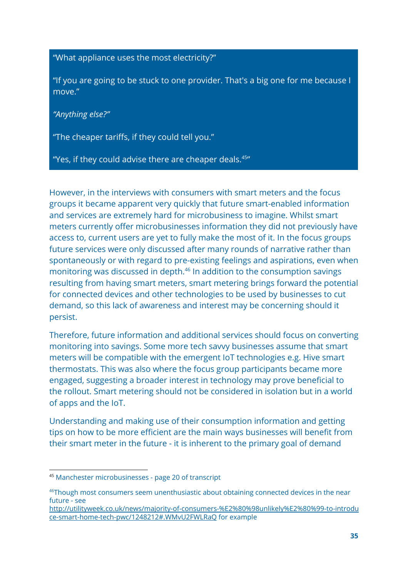"What appliance uses the most electricity?"

"If you are going to be stuck to one provider. That's a big one for me because I move."

"Anything else?"

"The cheaper tariffs, if they could tell you."

"Yes, if they could advise there are cheaper deals.<sup>45</sup>"

However, in the interviews with consumers with smart meters and the focus groups it became apparent very quickly that future smart-enabled information and services are extremely hard for microbusiness to imagine. Whilst smart meters currently offer microbusinesses information they did not previously have access to, current users are yet to fully make the most of it. In the focus groups future services were only discussed after many rounds of narrative rather than spontaneously or with regard to pre-existing feelings and aspirations, even when monitoring was discussed in depth.<sup>46</sup> In addition to the consumption savings resulting from having smart meters, smart metering brings forward the potential for connected devices and other technologies to be used by businesses to cut demand, so this lack of awareness and interest may be concerning should it persist.

Therefore, future information and additional services should focus on converting monitoring into savings. Some more tech savvy businesses assume that smart meters will be compatible with the emergent IoT technologies e.g. Hive smart thermostats. This was also where the focus group participants became more engaged, suggesting a broader interest in technology may prove beneficial to the rollout. Smart metering should not be considered in isolation but in a world of apps and the IoT.

Understanding and making use of their consumption information and getting tips on how to be more efficient are the main ways businesses will benefit from their smart meter in the future - it is inherent to the primary goal of demand

<sup>45</sup> Manchester microbusinesses - page 20 of transcript

<sup>46</sup>Though most consumers seem unenthusiastic about obtaining connected devices in the near future - see

[http://utilityweek.co.uk/news/majority-of-consumers-%E2%80%98unlikely%E2%80%99-to-introdu](http://utilityweek.co.uk/news/majority-of-consumers-%E2%80%98unlikely%E2%80%99-to-introduce-smart-home-tech-pwc/1248212#.WMvU2FWLRaQ) [ce-smart-home-tech-pwc/1248212#.WMvU2FWLRaQ](http://utilityweek.co.uk/news/majority-of-consumers-%E2%80%98unlikely%E2%80%99-to-introduce-smart-home-tech-pwc/1248212#.WMvU2FWLRaQ) for example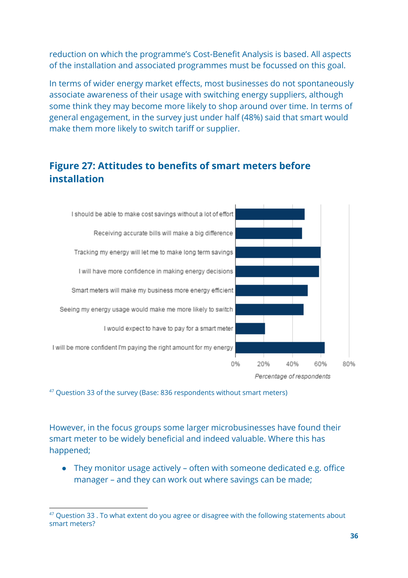reduction on which the programme's Cost-Benefit Analysis is based. All aspects of the installation and associated programmes must be focussed on this goal.

In terms of wider energy market effects, most businesses do not spontaneously associate awareness of their usage with switching energy suppliers, although some think they may become more likely to shop around over time. In terms of general engagement, in the survey just under half (48%) said that smart would make them more likely to switch tariff or supplier.

#### Figure 27: Attitudes to benefits of smart meters before installation

![](_page_36_Figure_3.jpeg)

 $47$  Question 33 of the survey (Base: 836 respondents without smart meters)

However, in the focus groups some larger microbusinesses have found their smart meter to be widely beneficial and indeed valuable. Where this has happened;

● They monitor usage actively – often with someone dedicated e.g. office manager – and they can work out where savings can be made;

 $47$  Question 33 . To what extent do you agree or disagree with the following statements about smart meters?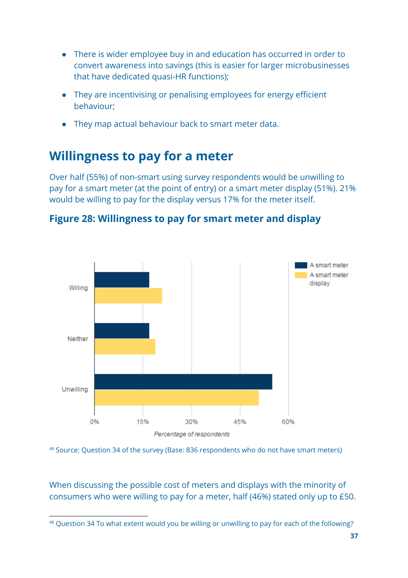- There is wider employee buy in and education has occurred in order to convert awareness into savings (this is easier for larger microbusinesses that have dedicated quasi-HR functions);
- They are incentivising or penalising employees for energy efficient behaviour;
- They map actual behaviour back to smart meter data.

### <span id="page-37-0"></span>Willingness to pay for a meter

Over half (55%) of non-smart using survey respondents would be unwilling to pay for a smart meter (at the point of entry) or a smart meter display (51%). 21% would be willing to pay for the display versus 17% for the meter itself.

![](_page_37_Figure_5.jpeg)

![](_page_37_Figure_6.jpeg)

 $^{48}$  Source: Question 34 of the survey (Base: 836 respondents who do not have smart meters)

When discussing the possible cost of meters and displays with the minority of consumers who were willing to pay for a meter, half (46%) stated only up to £50.

<sup>48</sup> Question 34 To what extent would you be willing or unwilling to pay for each of the following?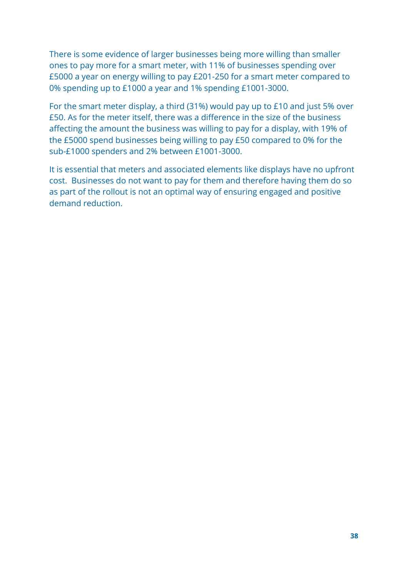There is some evidence of larger businesses being more willing than smaller ones to pay more for a smart meter, with 11% of businesses spending over £5000 a year on energy willing to pay £201-250 for a smart meter compared to 0% spending up to £1000 a year and 1% spending £1001-3000.

For the smart meter display, a third (31%) would pay up to £10 and just 5% over £50. As for the meter itself, there was a difference in the size of the business affecting the amount the business was willing to pay for a display, with 19% of the £5000 spend businesses being willing to pay £50 compared to 0% for the sub-£1000 spenders and 2% between £1001-3000.

It is essential that meters and associated elements like displays have no upfront cost. Businesses do not want to pay for them and therefore having them do so as part of the rollout is not an optimal way of ensuring engaged and positive demand reduction.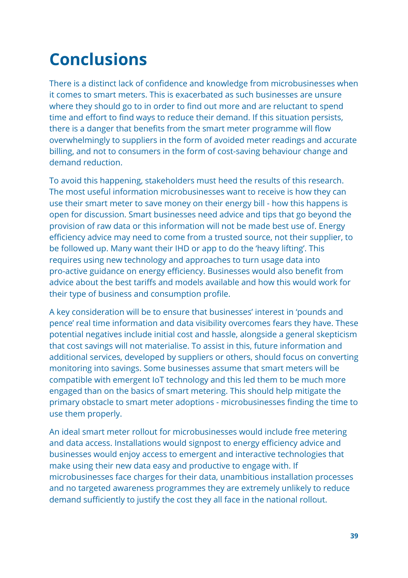# <span id="page-39-0"></span>Conclusions

There is a distinct lack of confidence and knowledge from microbusinesses when it comes to smart meters. This is exacerbated as such businesses are unsure where they should go to in order to find out more and are reluctant to spend time and effort to find ways to reduce their demand. If this situation persists, there is a danger that benefits from the smart meter programme will flow overwhelmingly to suppliers in the form of avoided meter readings and accurate billing, and not to consumers in the form of cost-saving behaviour change and demand reduction.

To avoid this happening, stakeholders must heed the results of this research. The most useful information microbusinesses want to receive is how they can use their smart meter to save money on their energy bill - how this happens is open for discussion. Smart businesses need advice and tips that go beyond the provision of raw data or this information will not be made best use of. Energy efficiency advice may need to come from a trusted source, not their supplier, to be followed up. Many want their IHD or app to do the 'heavy lifting'. This requires using new technology and approaches to turn usage data into pro-active guidance on energy efficiency. Businesses would also benefit from advice about the best tariffs and models available and how this would work for their type of business and consumption profile.

A key consideration will be to ensure that businesses' interest in 'pounds and pence' real time information and data visibility overcomes fears they have. These potential negatives include initial cost and hassle, alongside a general skepticism that cost savings will not materialise. To assist in this, future information and additional services, developed by suppliers or others, should focus on converting monitoring into savings. Some businesses assume that smart meters will be compatible with emergent IoT technology and this led them to be much more engaged than on the basics of smart metering. This should help mitigate the primary obstacle to smart meter adoptions - microbusinesses finding the time to use them properly.

An ideal smart meter rollout for microbusinesses would include free metering and data access. Installations would signpost to energy efficiency advice and businesses would enjoy access to emergent and interactive technologies that make using their new data easy and productive to engage with. If microbusinesses face charges for their data, unambitious installation processes and no targeted awareness programmes they are extremely unlikely to reduce demand sufficiently to justify the cost they all face in the national rollout.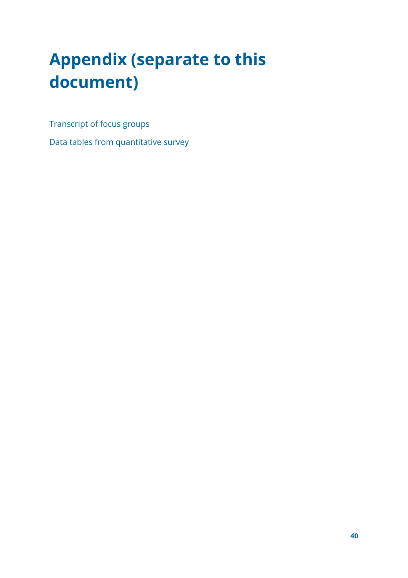# <span id="page-40-0"></span>Appendix (separate to this document)

Transcript of focus groups

Data tables from quantitative survey